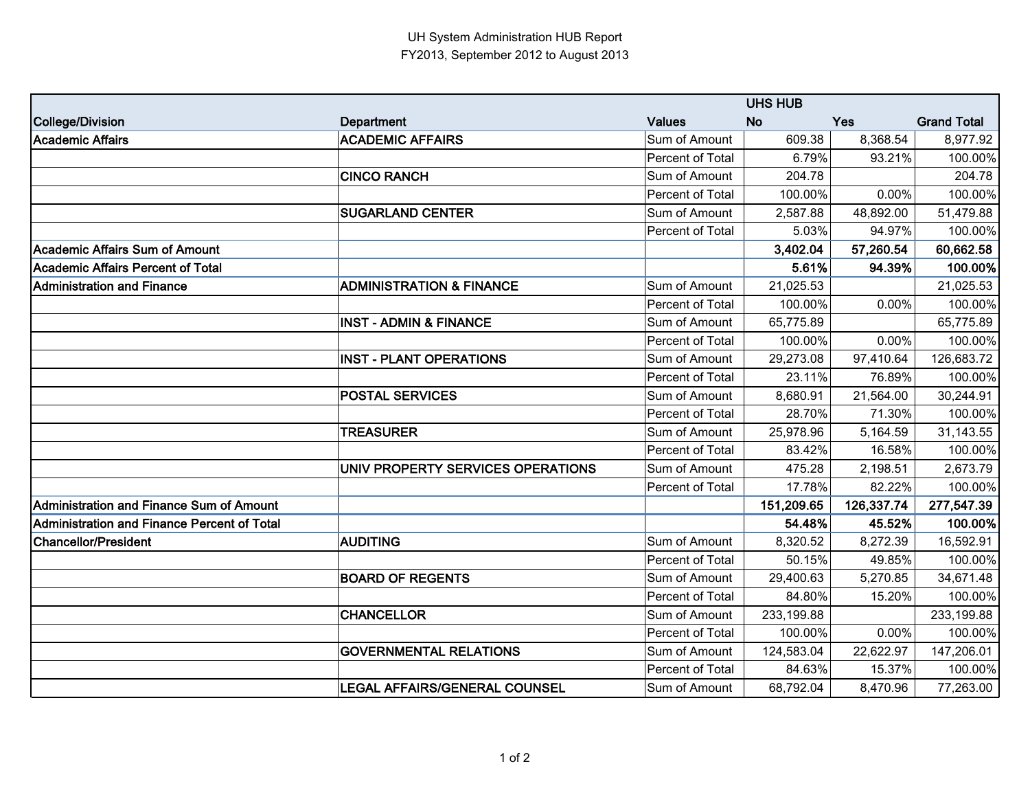|                                             |                                     |                  | <b>UHS HUB</b> |            |                    |
|---------------------------------------------|-------------------------------------|------------------|----------------|------------|--------------------|
| College/Division                            | <b>Department</b>                   | <b>Values</b>    | <b>No</b>      | <b>Yes</b> | <b>Grand Total</b> |
| Academic Affairs                            | <b>ACADEMIC AFFAIRS</b>             | Sum of Amount    | 609.38         | 8,368.54   | 8,977.92           |
|                                             |                                     | Percent of Total | 6.79%          | 93.21%     | 100.00%            |
|                                             | <b>CINCO RANCH</b>                  | Sum of Amount    | 204.78         |            | 204.78             |
|                                             |                                     | Percent of Total | 100.00%        | 0.00%      | 100.00%            |
|                                             | <b>SUGARLAND CENTER</b>             | Sum of Amount    | 2,587.88       | 48,892.00  | 51,479.88          |
|                                             |                                     | Percent of Total | 5.03%          | 94.97%     | 100.00%            |
| Academic Affairs Sum of Amount              |                                     |                  | 3,402.04       | 57,260.54  | 60,662.58          |
| Academic Affairs Percent of Total           |                                     |                  | 5.61%          | 94.39%     | 100.00%            |
| <b>Administration and Finance</b>           | <b>ADMINISTRATION &amp; FINANCE</b> | Sum of Amount    | 21,025.53      |            | 21,025.53          |
|                                             |                                     | Percent of Total | 100.00%        | 0.00%      | 100.00%            |
|                                             | <b>INST - ADMIN &amp; FINANCE</b>   | Sum of Amount    | 65,775.89      |            | 65,775.89          |
|                                             |                                     | Percent of Total | 100.00%        | 0.00%      | 100.00%            |
|                                             | <b>INST - PLANT OPERATIONS</b>      | Sum of Amount    | 29,273.08      | 97,410.64  | 126,683.72         |
|                                             |                                     | Percent of Total | 23.11%         | 76.89%     | 100.00%            |
|                                             | <b>POSTAL SERVICES</b>              | Sum of Amount    | 8,680.91       | 21,564.00  | 30,244.91          |
|                                             |                                     | Percent of Total | 28.70%         | 71.30%     | 100.00%            |
|                                             | <b>TREASURER</b>                    | Sum of Amount    | 25,978.96      | 5,164.59   | 31,143.55          |
|                                             |                                     | Percent of Total | 83.42%         | 16.58%     | 100.00%            |
|                                             | UNIV PROPERTY SERVICES OPERATIONS   | Sum of Amount    | 475.28         | 2,198.51   | 2,673.79           |
|                                             |                                     | Percent of Total | 17.78%         | 82.22%     | 100.00%            |
| Administration and Finance Sum of Amount    |                                     |                  | 151,209.65     | 126,337.74 | 277,547.39         |
| Administration and Finance Percent of Total |                                     |                  | 54.48%         | 45.52%     | 100.00%            |
| Chancellor/President                        | <b>AUDITING</b>                     | Sum of Amount    | 8,320.52       | 8,272.39   | 16,592.91          |
|                                             |                                     | Percent of Total | 50.15%         | 49.85%     | 100.00%            |
|                                             | <b>BOARD OF REGENTS</b>             | Sum of Amount    | 29,400.63      | 5,270.85   | 34,671.48          |
|                                             |                                     | Percent of Total | 84.80%         | 15.20%     | 100.00%            |
|                                             | <b>CHANCELLOR</b>                   | Sum of Amount    | 233,199.88     |            | 233,199.88         |
|                                             |                                     | Percent of Total | 100.00%        | 0.00%      | 100.00%            |
|                                             | <b>GOVERNMENTAL RELATIONS</b>       | Sum of Amount    | 124,583.04     | 22,622.97  | 147,206.01         |
|                                             |                                     | Percent of Total | 84.63%         | 15.37%     | 100.00%            |
|                                             | LEGAL AFFAIRS/GENERAL COUNSEL       | Sum of Amount    | 68,792.04      | 8,470.96   | 77,263.00          |